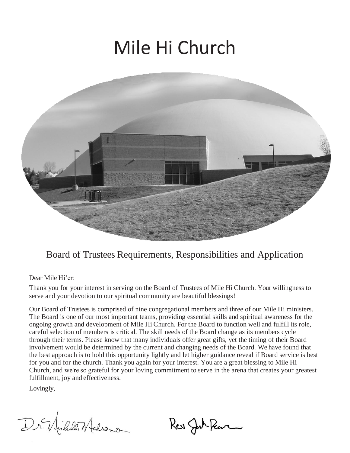# Mile Hi Church



### Board of Trustees Requirements, Responsibilities and Application

Dear Mile Hi'er:

Thank you for your interest in serving on the Board of Trustees of Mile Hi Church. Your willingness to serve and your devotion to our spiritual community are beautiful blessings!

Our Board of Trustees is comprised of nine congregational members and three of our Mile Hi ministers. The Board is one of our most important teams, providing essential skills and spiritual awareness for the ongoing growth and development of Mile Hi Church. For the Board to function well and fulfill its role, careful selection of members is critical. The skill needs of the Board change as its members cycle through their terms. Please know that many individuals offer great gifts, yet the timing of their Board involvement would be determined by the current and changing needs of the Board. We have found that the best approach is to hold this opportunity lightly and let higher guidance reveal if Board service is best for you and for the church. Thank you again for your interest. You are a great blessing to Mile Hi Church, and we're so grateful for your loving commitment to serve in the arena that creates your greatest fulfillment, joy and effectiveness.

Lovingly,

Dr. Wille Medrano

Ker Jah Peur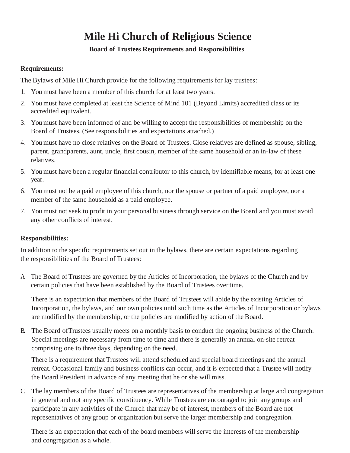## **Mile Hi Church of Religious Science**

#### **Board of Trustees Requirements and Responsibilities**

#### **Requirements:**

The Bylaws of Mile Hi Church provide for the following requirements for lay trustees:

- 1. You must have been a member of this church for at least two years.
- 2. You must have completed at least the Science of Mind 101 (Beyond Limits) accredited class or its accredited equivalent.
- 3. You must have been informed of and be willing to accept the responsibilities of membership on the Board of Trustees. (See responsibilities and expectations attached.)
- 4. You must have no close relatives on the Board of Trustees. Close relatives are defined as spouse, sibling, parent, grandparents, aunt, uncle, first cousin, member of the same household or an in-law of these relatives.
- 5. You must have been a regular financial contributor to this church, by identifiable means, for at least one year.
- 6. You must not be a paid employee of this church, nor the spouse or partner of a paid employee, nor a member of the same household as a paid employee.
- 7. You must not seek to profit in your personal business through service on the Board and you must avoid any other conflicts of interest.

#### **Responsibilities:**

In addition to the specific requirements set out in the bylaws, there are certain expectations regarding the responsibilities of the Board of Trustees:

A. The Board of Trustees are governed by the Articles of Incorporation, the bylaws of the Church and by certain policies that have been established by the Board of Trustees over time.

There is an expectation that members of the Board of Trustees will abide by the existing Articles of Incorporation, the bylaws, and our own policies until such time as the Articles of Incorporation or bylaws are modified by the membership, or the policies are modified by action of the Board.

B. The Board ofTrustees usually meets on a monthly basis to conduct the ongoing business of the Church. Special meetings are necessary from time to time and there is generally an annual on-site retreat comprising one to three days, depending on the need.

There is a requirement that Trustees will attend scheduled and special board meetings and the annual retreat. Occasional family and business conflicts can occur, and it is expected that a Trustee will notify the Board President in advance of any meeting that he or she will miss.

C. The lay members of the Board of Trustees are representatives of the membership at large and congregation in general and not any specific constituency. While Trustees are encouraged to join any groups and participate in any activities of the Church that may be of interest, members of the Board are not representatives of any group or organization but serve the larger membership and congregation.

There is an expectation that each of the board members will serve the interests of the membership and congregation as a whole.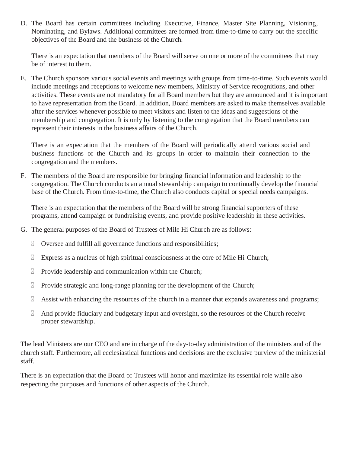D. The Board has certain committees including Executive, Finance, Master Site Planning, Visioning, Nominating, and Bylaws. Additional committees are formed from time-to-time to carry out the specific objectives of the Board and the business of the Church.

There is an expectation that members of the Board will serve on one or more of the committees that may be of interest to them.

E. The Church sponsors various social events and meetings with groups from time-to-time. Such events would include meetings and receptions to welcome new members, Ministry of Service recognitions, and other activities. These events are not mandatory for all Board members but they are announced and it is important to have representation from the Board. In addition, Board members are asked to make themselves available after the services whenever possible to meet visitors and listen to the ideas and suggestions of the membership and congregation. It is only by listening to the congregation that the Board members can represent their interests in the business affairs of the Church.

There is an expectation that the members of the Board will periodically attend various social and business functions of the Church and its groups in order to maintain their connection to the congregation and the members.

F. The members of the Board are responsible for bringing financial information and leadership to the congregation. The Church conducts an annual stewardship campaign to continually develop the financial base of the Church. From time-to-time, the Church also conducts capital or special needs campaigns.

There is an expectation that the members of the Board will be strong financial supporters of these programs, attend campaign or fundraising events, and provide positive leadership in these activities.

- G. The general purposes of the Board of Trustees of Mile Hi Church are as follows:
	- Oversee and fulfill all governance functions and responsibilities;
	- Express as a nucleus of high spiritual consciousness at the core of Mile Hi Church;
	- $\mathbb{R}$  Provide leadership and communication within the Church;
	- $\mathbb{R}$  Provide strategic and long-range planning for the development of the Church;
	- Assist with enhancing the resources of the church in a manner that expands awareness and programs;
	- $\mathbb A$  And provide fiduciary and budgetary input and oversight, so the resources of the Church receive proper stewardship.

The lead Ministers are our CEO and are in charge of the day-to-day administration of the ministers and of the church staff. Furthermore, all ecclesiastical functions and decisions are the exclusive purview of the ministerial staff.

There is an expectation that the Board of Trustees will honor and maximize its essential role while also respecting the purposes and functions of other aspects of the Church.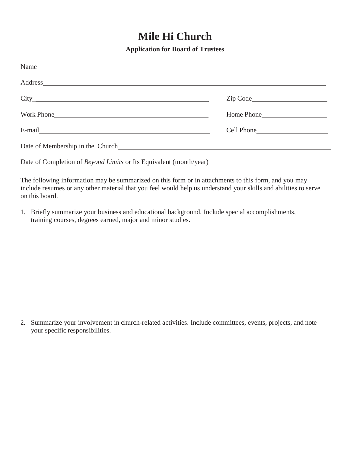## **Mile Hi Church**

**Application for Board of Trustees**

| Name                                                                                                                                                                                                                           |            |
|--------------------------------------------------------------------------------------------------------------------------------------------------------------------------------------------------------------------------------|------------|
| Address and the set of the set of the set of the set of the set of the set of the set of the set of the set of the set of the set of the set of the set of the set of the set of the set of the set of the set of the set of t |            |
|                                                                                                                                                                                                                                |            |
|                                                                                                                                                                                                                                | Home Phone |
|                                                                                                                                                                                                                                | Cell Phone |
|                                                                                                                                                                                                                                |            |
| Date of Completion of Beyond Limits or Its Equivalent (month/year)                                                                                                                                                             |            |

The following information may be summarized on this form or in attachments to this form, and you may include resumes or any other material that you feel would help us understand your skills and abilities to serve on this board.

1. Briefly summarize your business and educational background. Include special accomplishments, training courses, degrees earned, major and minor studies.

2. Summarize your involvement in church-related activities. Include committees, events, projects, and note your specific responsibilities.